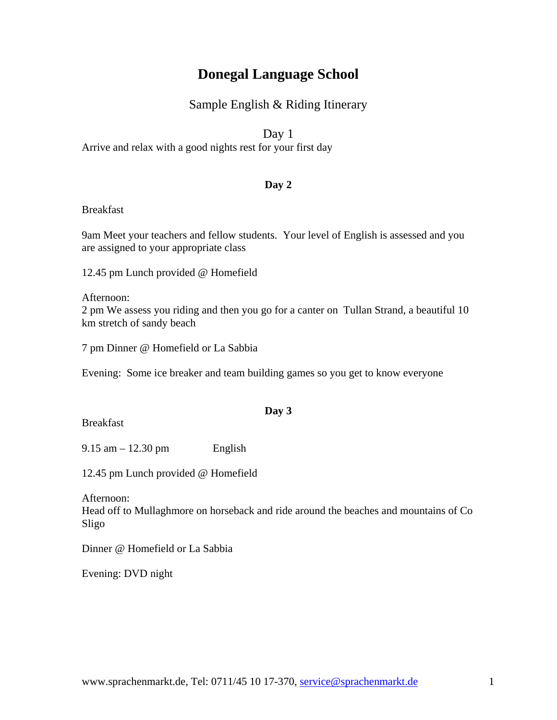# **Donegal Language School**

# Sample English & Riding Itinerary

Day 1

Arrive and relax with a good nights rest for your first day

## **Day 2**

#### Breakfast

9am Meet your teachers and fellow students. Your level of English is assessed and you are assigned to your appropriate class

12.45 pm Lunch provided @ Homefield

Afternoon: 2 pm We assess you riding and then you go for a canter on Tullan Strand, a beautiful 10 km stretch of sandy beach

7 pm Dinner @ Homefield or La Sabbia

Evening: Some ice breaker and team building games so you get to know everyone

## **Day 3**

**Breakfast** 

 $9.15$  am  $-12.30$  pm English

12.45 pm Lunch provided @ Homefield

Afternoon:

Head off to Mullaghmore on horseback and ride around the beaches and mountains of Co Sligo

Dinner @ Homefield or La Sabbia

Evening: DVD night